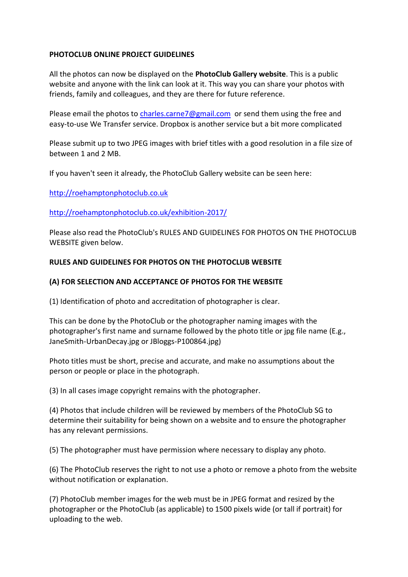## **PHOTOCLUB ONLINE PROJECT GUIDELINES**

All the photos can now be displayed on the **PhotoClub Gallery website**. This is a public website and anyone with the link can look at it. This way you can share your photos with friends, family and colleagues, and they are there for future reference.

Please email the photos to [charles.carne7@gmail.com](mailto:charles.carne7@gmail.com) or send them using the free and easy-to-use We Transfer service. Dropbox is another service but a bit more complicated

Please submit up to two JPEG images with brief titles with a good resolution in a file size of between 1 and 2 MB.

If you haven't seen it already, the PhotoClub Gallery website can be seen here:

[http://roehamptonphotoclub.co.uk](http://roehamptonphotoclub.co.uk/)

[http://roehamptonphotoclub.co.uk/exhibition-2017/](http://roehamptonphotoclub.co.uk/exhibition-2015/)

Please also read the PhotoClub's RULES AND GUIDELINES FOR PHOTOS ON THE PHOTOCLUB WEBSITE given below.

## **RULES AND GUIDELINES FOR PHOTOS ON THE PHOTOCLUB WEBSITE**

## **(A) FOR SELECTION AND ACCEPTANCE OF PHOTOS FOR THE WEBSITE**

(1) Identification of photo and accreditation of photographer is clear.

This can be done by the PhotoClub or the photographer naming images with the photographer's first name and surname followed by the photo title or jpg file name (E.g., JaneSmith-UrbanDecay.jpg or JBloggs-P100864.jpg)

Photo titles must be short, precise and accurate, and make no assumptions about the person or people or place in the photograph.

(3) In all cases image copyright remains with the photographer.

(4) Photos that include children will be reviewed by members of the PhotoClub SG to determine their suitability for being shown on a website and to ensure the photographer has any relevant permissions.

(5) The photographer must have permission where necessary to display any photo.

(6) The PhotoClub reserves the right to not use a photo or remove a photo from the website without notification or explanation.

(7) PhotoClub member images for the web must be in JPEG format and resized by the photographer or the PhotoClub (as applicable) to 1500 pixels wide (or tall if portrait) for uploading to the web.